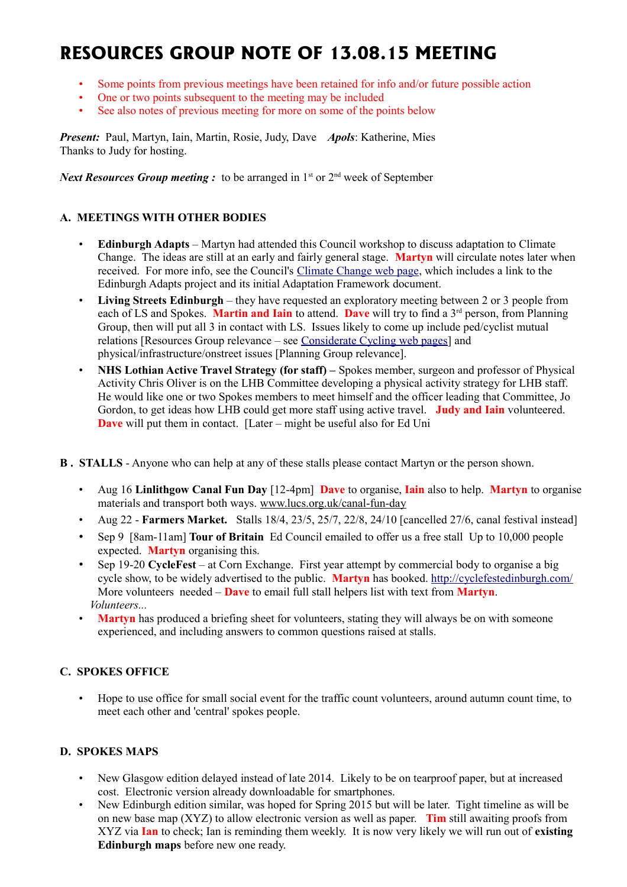# **RESOURCES GROUP NOTE OF 13.08.15 MEETING**

- Some points from previous meetings have been retained for info and/or future possible action
- One or two points subsequent to the meeting may be included
- See also notes of previous meeting for more on some of the points below

*Present:* Paul, Martyn, Iain, Martin, Rosie, Judy, Dave *Apols*: Katherine, Mies Thanks to Judy for hosting.

*Next Resources Group meeting :* to be arranged in  $1<sup>st</sup>$  or  $2<sup>nd</sup>$  week of September

# **A. MEETINGS WITH OTHER BODIES**

- **Edinburgh Adapts** Martyn had attended this Council workshop to discuss adaptation to Climate Change. The ideas are still at an early and fairly general stage. **Martyn** will circulate notes later when received. For more info, see the Council's [Climate Change web page,](http://www.edinburgh.gov.uk/info/20206/sustainable_development_and_fairtrade/910/climate_change) which includes a link to the Edinburgh Adapts project and its initial Adaptation Framework document.
- **Living Streets Edinburgh** they have requested an exploratory meeting between 2 or 3 people from each of LS and Spokes. **Martin and Iain** to attend. **Dave** will try to find a 3<sup>rd</sup> person, from Planning Group, then will put all 3 in contact with LS. Issues likely to come up include ped/cyclist mutual relations [Resources Group relevance – see [Considerate Cycling web pages\]](http://www.spokes.org.uk/documents/advice/considerate-cycling/) and physical/infrastructure/onstreet issues [Planning Group relevance].
- **NHS Lothian Active Travel Strategy (for staff) –** Spokes member, surgeon and professor of Physical Activity Chris Oliver is on the LHB Committee developing a physical activity strategy for LHB staff. He would like one or two Spokes members to meet himself and the officer leading that Committee, Jo Gordon, to get ideas how LHB could get more staff using active travel. **Judy and Iain** volunteered. **Dave** will put them in contact. [Later – might be useful also for Ed Uni
- **B . STALLS** Anyone who can help at any of these stalls please contact Martyn or the person shown.
	- Aug 16 **Linlithgow Canal Fun Day** [12-4pm] **Dave** to organise, **Iain** also to help. **Martyn** to organise materials and transport both ways. [www.lucs.org.uk/canal-fun-day](http://www.lucs.org.uk/canal-fun-day)
	- Aug 22 **Farmers Market.** Stalls 18/4, 23/5, 25/7, 22/8, 24/10 [cancelled 27/6, canal festival instead]
	- Sep 9 [8am-11am] **Tour of Britain** Ed Council emailed to offer us a free stall Up to 10,000 people expected. **Martyn** organising this.
	- Sep 19-20 **CycleFest** at Corn Exchange. First year attempt by commercial body to organise a big cycle show, to be widely advertised to the public. **Martyn** has booked.<http://cyclefestedinburgh.com/> More volunteers needed – **Dave** to email full stall helpers list with text from **Martyn**. *Volunteers...*
	- **Martyn** has produced a briefing sheet for volunteers, stating they will always be on with someone experienced, and including answers to common questions raised at stalls.

# **C. SPOKES OFFICE**

• Hope to use office for small social event for the traffic count volunteers, around autumn count time, to meet each other and 'central' spokes people.

# **D. SPOKES MAPS**

- New Glasgow edition delayed instead of late 2014. Likely to be on tearproof paper, but at increased cost. Electronic version already downloadable for smartphones.
- New Edinburgh edition similar, was hoped for Spring 2015 but will be later. Tight timeline as will be on new base map (XYZ) to allow electronic version as well as paper. **Tim** still awaiting proofs from XYZ via **Ian** to check; Ian is reminding them weekly. It is now very likely we will run out of **existing Edinburgh maps** before new one ready.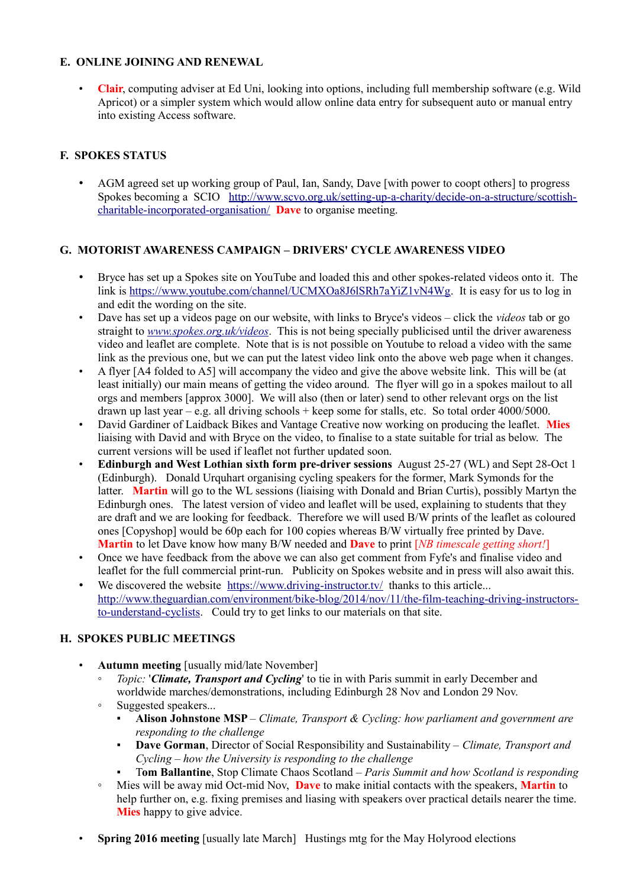# **E. ONLINE JOINING AND RENEWAL**

• **Clair**, computing adviser at Ed Uni, looking into options, including full membership software (e.g. Wild Apricot) or a simpler system which would allow online data entry for subsequent auto or manual entry into existing Access software.

# **F. SPOKES STATUS**

• AGM agreed set up working group of Paul, Ian, Sandy, Dave [with power to coopt others] to progress Spokes becoming a SCIO [http://www.scvo.org.uk/setting-up-a-charity/decide-on-a-structure/scottish](http://www.scvo.org.uk/setting-up-a-charity/decide-on-a-structure/scottish-charitable-incorporated-organisation/)[charitable-incorporated-organisation/](http://www.scvo.org.uk/setting-up-a-charity/decide-on-a-structure/scottish-charitable-incorporated-organisation/) **Dave** to organise meeting.

# **G. MOTORIST AWARENESS CAMPAIGN – DRIVERS' CYCLE AWARENESS VIDEO**

- Bryce has set up a Spokes site on YouTube and loaded this and other spokes-related videos onto it. The link is [https://www.youtube.com/channel/UCMXOa8J6lSRh7aYiZ1vN4Wg.](https://www.youtube.com/channel/UCMXOa8J6lSRh7aYiZ1vN4Wg) It is easy for us to log in and edit the wording on the site.
- Dave has set up a videos page on our website, with links to Bryce's videos click the *videos* tab or go straight to *[www.spokes.org.uk/videos](http://www.spokes.org.uk/videos)*. This is not being specially publicised until the driver awareness video and leaflet are complete. Note that is is not possible on Youtube to reload a video with the same link as the previous one, but we can put the latest video link onto the above web page when it changes.
- A flyer [A4 folded to A5] will accompany the video and give the above website link. This will be (at least initially) our main means of getting the video around. The flyer will go in a spokes mailout to all orgs and members [approx 3000]. We will also (then or later) send to other relevant orgs on the list drawn up last year – e.g. all driving schools + keep some for stalls, etc. So total order  $4000/5000$ .
- David Gardiner of Laidback Bikes and Vantage Creative now working on producing the leaflet. **Mies** liaising with David and with Bryce on the video, to finalise to a state suitable for trial as below. The current versions will be used if leaflet not further updated soon.
- **Edinburgh and West Lothian sixth form pre-driver sessions** August 25-27 (WL) and Sept 28-Oct 1 (Edinburgh). Donald Urquhart organising cycling speakers for the former, Mark Symonds for the latter. **Martin** will go to the WL sessions (liaising with Donald and Brian Curtis), possibly Martyn the Edinburgh ones. The latest version of video and leaflet will be used, explaining to students that they are draft and we are looking for feedback. Therefore we will used B/W prints of the leaflet as coloured ones [Copyshop] would be 60p each for 100 copies whereas B/W virtually free printed by Dave. **Martin** to let Dave know how many B/W needed and **Dave** to print [*NB timescale getting short!*]
- Once we have feedback from the above we can also get comment from Fyfe's and finalise video and leaflet for the full commercial print-run. Publicity on Spokes website and in press will also await this.
- We discovered the website <https://www.driving-instructor.tv/>thanks to this article... [http://www.theguardian.com/environment/bike-blog/2014/nov/11/the-film-teaching-driving-instructors](http://www.theguardian.com/environment/bike-blog/2014/nov/11/the-film-teaching-driving-instructors-to-understand-cyclists)[to-understand-cyclists.](http://www.theguardian.com/environment/bike-blog/2014/nov/11/the-film-teaching-driving-instructors-to-understand-cyclists) Could try to get links to our materials on that site.

# **H. SPOKES PUBLIC MEETINGS**

- **Autumn meeting** [usually mid/late November]
	- *Topic:* '*Climate, Transport and Cycling*' to tie in with Paris summit in early December and worldwide marches/demonstrations, including Edinburgh 28 Nov and London 29 Nov.
	- Suggested speakers...
		- Alison Johnstone MSP *Climate, Transport & Cycling: how parliament and government are responding to the challenge*
		- **Dave Gorman**, Director of Social Responsibility and Sustainability *Climate, Transport and Cycling – how the University is responding to the challenge*
		- T**om Ballantine**, Stop Climate Chaos Scotland *Paris Summit and how Scotland is responding*
	- Mies will be away mid Oct-mid Nov, **Dave** to make initial contacts with the speakers, **Martin** to help further on, e.g. fixing premises and liasing with speakers over practical details nearer the time. **Mies** happy to give advice.
- **Spring 2016 meeting** [usually late March] Hustings mtg for the May Holyrood elections